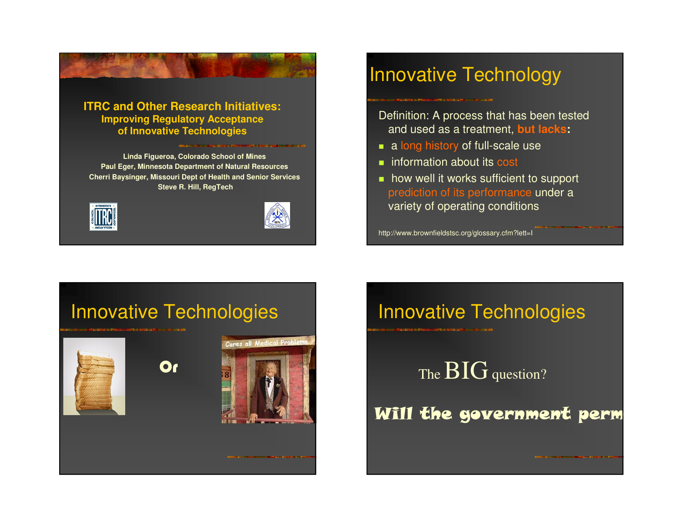





## Innovative Technology

Definition: A process that has been tested and used as a treatment, **but lacks:**

- **a** long history of full-scale use
- **n** information about its cost
- **how well it works sufficient to support** prediction of its performance under a variety of operating conditions

http://www.brownfieldstsc.org/glossary.cfm?lett=I

## Innovative Technologies



Innovative Technologies

The  $BIG$  question?

Will the government perm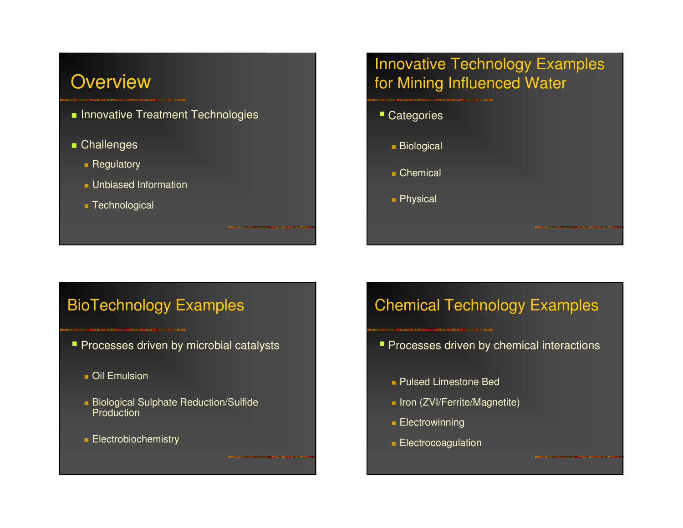## **Overview**

- **Innovative Treatment Technologies**
- **Challenges** 
	- **Regulatory**
	- **Unbiased Information**
	- Technological

## Innovative Technology Examples for Mining Influenced Water

**Categories** ■ Biological ■ Chemical ■ Physical

## BioTechnology Examples

- **Processes driven by microbial catalysts** 
	- Oil Emulsion
	- Biological Sulphate Reduction/Sulfide Production
	- **Electrobiochemistry**

## Chemical Technology Examples

- **Processes driven by chemical interactions** 
	- Pulsed Limestone Bed
	- Iron (ZVI/Ferrite/Magnetite)
	- Electrowinning
	- **Electrocoagulation**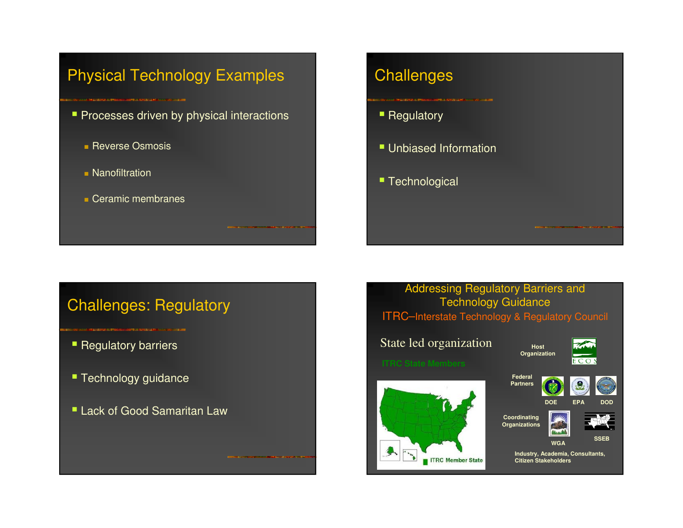## Physical Technology Examples

- **Processes driven by physical interactions** 
	- **Reverse Osmosis**
	- **Nanofiltration**
	- Ceramic membranes

## **Challenges**

- **-** Regulatory
- **Unbiased Information**
- **Technological**

## Challenges: Regulatory

- Regulatory barriers
- **Technology guidance**
- Lack of Good Samaritan Law

#### Addressing Regulatory Barriers and Technology Guidance ITRC–Interstate Technology & Regulatory Council

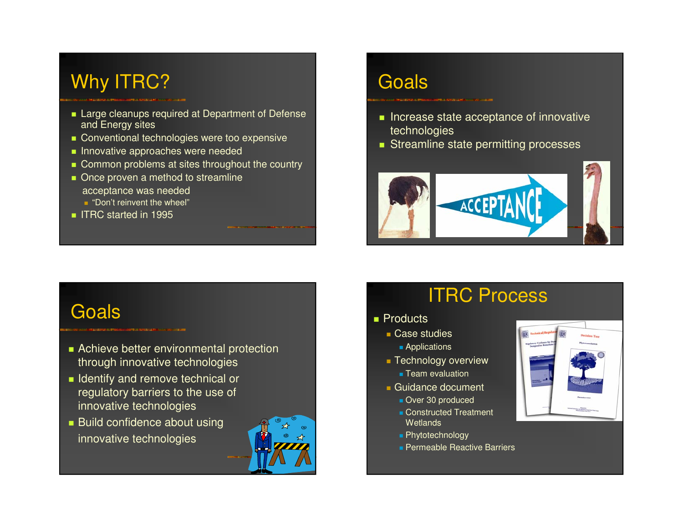# Why ITRC?

#### **Large cleanups required at Department of Defense** and Energy sites

- **Conventional technologies were too expensive**
- **Innovative approaches were needed**
- Common problems at sites throughout the country
- Once proven a method to streamline acceptance was needed
	- "Don't reinvent the wheel"
- **IFRC started in 1995**

# Goals

- **Increase state acceptance of innovative** technologies
- **Streamline state permitting processes**



## Goals

#### **Achieve better environmental protection** through innovative technologies

- **I** Identify and remove technical or regulatory barriers to the use of innovative technologies
- **Build confidence about using** innovative technologies



# ITRC Process

- Products
	- Case studies
		- Applications
	- Technology overview
		- Team evaluation
	- Guidance document
		- **Over 30 produced**
		- **Constructed Treatment Wetlands**
		- Phytotechnology
		- **Permeable Reactive Barriers**

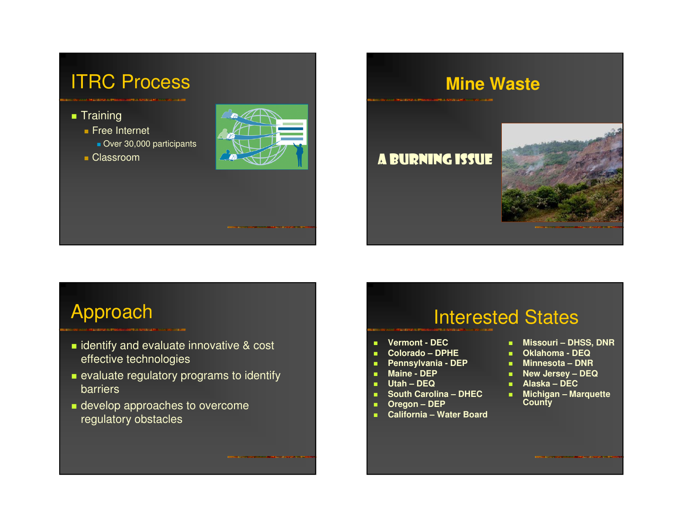

# **Mine Waste**

**A BURNING ISSUE** 



# Approach

- **I** identify and evaluate innovative & cost effective technologies
- **Example 2** evaluate regulatory programs to identify barriers
- **develop approaches to overcome** regulatory obstacles

## Interested States

- m. **Vermont - DEC**
- **Colorado – DPHE**
- ٠ **Pennsylvania - DEP**
- ×. **Maine - DEP**
- a. **Utah – DEQ**
- **South Carolina – DHEC** ×.
- a. **Oregon – DEP**
- ×. **California – Water Board**
- **Missouri – DHSS, DNR**
- **Oklahoma - DEQ**
- **Minnesota – DNR**
- **New Jersey – DEQ**
- **Alaska – DEC**
- **Michigan – Marquette County**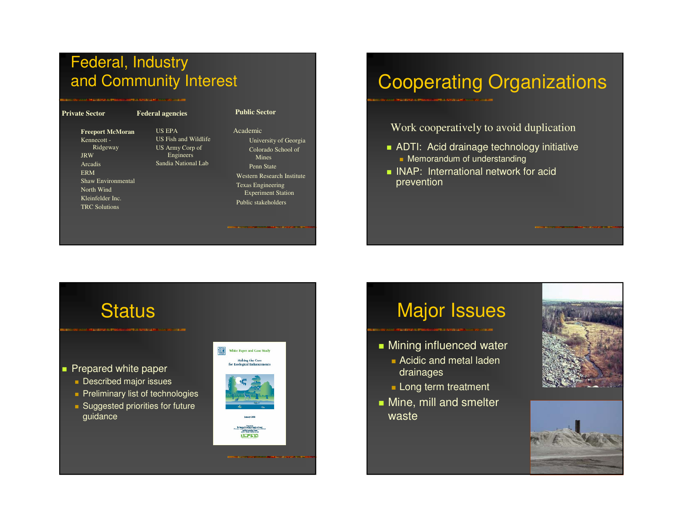## Federal, Industry and Community Interest

| <b>Private Sector</b>                                                                                                                                                            | <b>Federal agencies</b>                                                               | <b>Public Sector</b>                                                                                                                                                                         |
|----------------------------------------------------------------------------------------------------------------------------------------------------------------------------------|---------------------------------------------------------------------------------------|----------------------------------------------------------------------------------------------------------------------------------------------------------------------------------------------|
| <b>Freeport McMoran</b><br>Kennecott -<br>Ridgeway<br><b>JRW</b><br>Arcadis<br><b>ERM</b><br><b>Shaw Environmental</b><br>North Wind<br>Kleinfelder Inc.<br><b>TRC</b> Solutions | US EPA<br>US Fish and Wildlife<br>US Army Corp of<br>Engineers<br>Sandia National Lab | Academic<br>University of Georgia<br>Colorado School of<br>Mines<br>Penn State<br>Western Research Institute<br><b>Texas Engineering</b><br><b>Experiment Station</b><br>Public stakeholders |
|                                                                                                                                                                                  |                                                                                       |                                                                                                                                                                                              |

# Cooperating Organizations

Work cooperatively to avoid duplication

- ADTI: Acid drainage technology initiative **Nemorandum of understanding**
- **INAP:** International network for acid prevention

## Status

**Prepared white paper** 

- **Described major issues**
- **Preliminary list of technologies**
- **Suggested priorities for future** guidance



# Major Issues

- **Mining influenced water** 
	- **Acidic and metal laden** drainages
	- **Long term treatment**
- **Nine, mill and smelter** waste



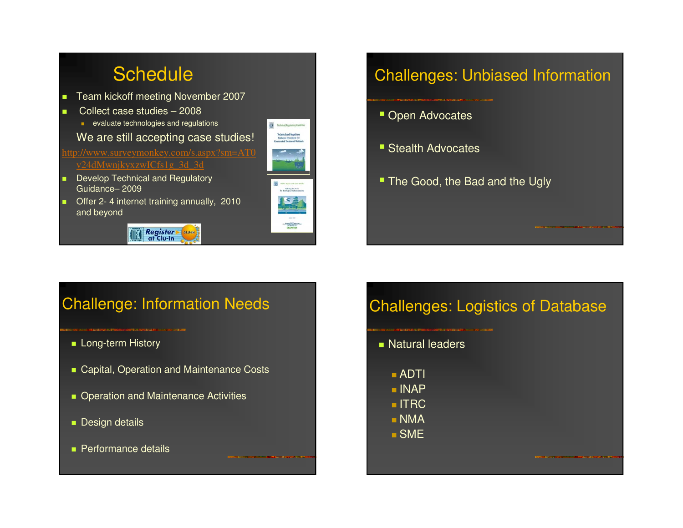

## Challenges: Unbiased Information

- **Open Advocates**
- **Stealth Advocates**
- The Good, the Bad and the Ugly

#### Challenge: Information Needs

- Long-term History
- Capital, Operation and Maintenance Costs
- **Deration and Maintenance Activities**
- **Design details**
- **Performance details**

## Challenges: Logistics of Database

**Natural leaders** 

 ADTI  $\blacksquare$  INAP  $\blacksquare$  ITRC NMA

SME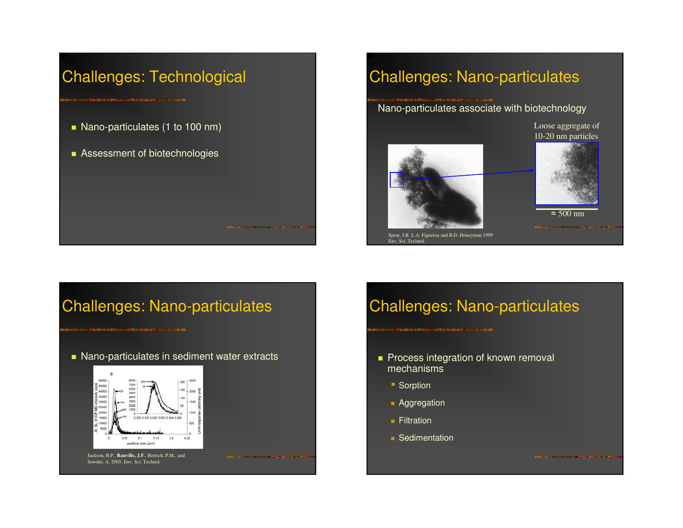## Challenges: Technological

- **Nano-particulates (1 to 100 nm)**
- **Assessment of biotechnologies**

## Challenges: Nano-particulates

Nano-particulates associate with biotechnology





Loose aggregate of

500 nm

Spear, J.R. L.A. Figueroa and B.D. Honeyman 1999 Env. Sci. Technol.

## Challenges: Nano-particulates

**Nano-particulates in sediment water extracts** 



Jackson, B.P., **Ranville, J.F**., Bertsch, P.M., and Sowder, A. 2005. Env. Sci. Technol.

## Challenges: Nano-particulates

- **Process integration of known removal** mechanisms
	- **Sorption**
	- **Aggregation**
	- **Filtration**
	- **Sedimentation**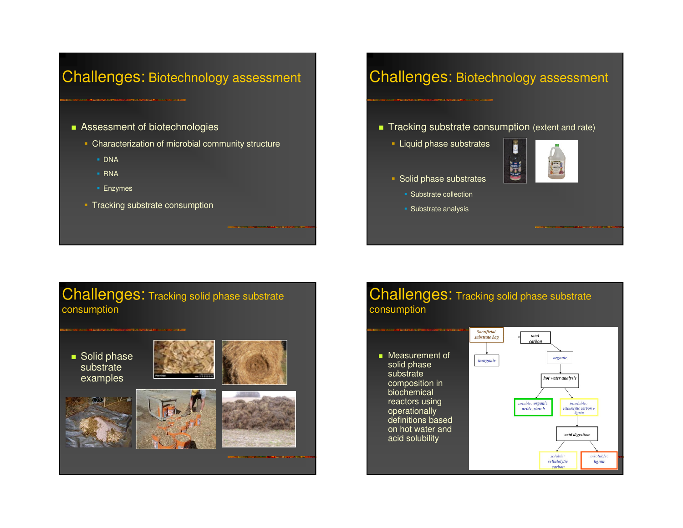#### Challenges: Biotechnology assessment

- **Assessment of biotechnologies** 
	- **Characterization of microbial community structure** 
		- DNA
		- RNA
		- Enzymes
	- **Tracking substrate consumption**

#### Challenges: Biotechnology assessment

- **Tracking substrate consumption** (extent and rate)
	- **Liquid phase substrates**



- **Solid phase substrates** 
	- **-** Substrate collection
	- Substrate analysis

#### Challenges: Tracking solid phase substrate consumption

#### ■ Solid phase substrate examples











#### Challenges: Tracking solid phase substrate consumption

■ Measurement of solid phase substrate composition in biochemical reactors using operationally definitions based on hot water and acid solubility